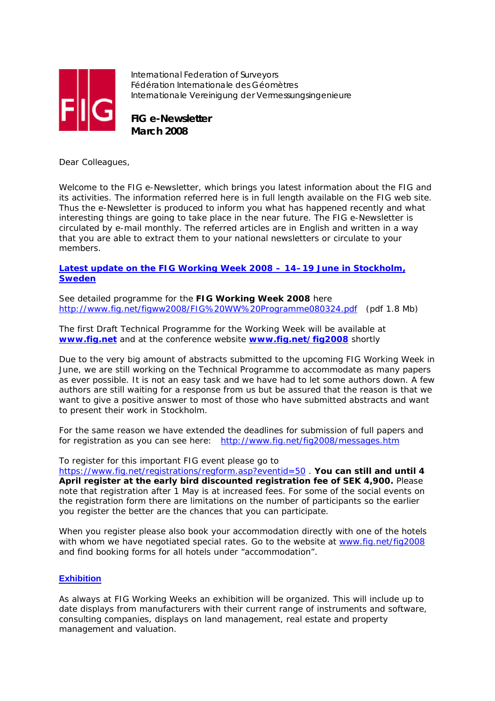

International Federation of Surveyors Fédération Internationale des Géomètres Internationale Vereinigung der Vermessungsingenieure

**FIG e-Newsletter March 2008**

Dear Colleagues,

Welcome to the FIG e-Newsletter, which brings you latest information about the FIG and its activities. The information referred here is in full length available on the FIG web site. Thus the e-Newsletter is produced to inform you what has happened recently and what interesting things are going to take place in the near future. The FIG e-Newsletter is circulated by e-mail monthly. The referred articles are in English and written in a way that you are able to extract them to your national newsletters or circulate to your members.

# **Latest update on the FIG Working Week 2008 – 14–19 June in Stockholm, Sweden**

See detailed programme for the **FIG Working Week 2008** here http://www.fig.net/figww2008/FIG%20WW%20Programme080324.pdf (pdf 1.8 Mb)

The first Draft Technical Programme for the Working Week will be available at **www.fig.net** and at the conference website **www.fig.net/fig2008** shortly

Due to the very big amount of abstracts submitted to the upcoming FIG Working Week in June, we are still working on the Technical Programme to accommodate as many papers as ever possible. It is not an easy task and we have had to let some authors down. A few authors are still waiting for a response from us but be assured that the reason is that we want to give a positive answer to most of those who have submitted abstracts and want to present their work in Stockholm.

For the same reason we have extended the deadlines for submission of full papers and for registration as you can see here: http://www.fig.net/fig2008/messages.htm

To register for this important FIG event please go to

https://www.fig.net/registrations/regform.asp?eventid=50 . **You can still and until 4 April register at the early bird discounted registration fee of SEK 4,900.** Please note that registration after 1 May is at increased fees. For some of the social events on the registration form there are limitations on the number of participants so the earlier you register the better are the chances that you can participate.

When you register please also book your accommodation directly with one of the hotels with whom we have negotiated special rates. Go to the website at www.fig.net/fig2008 and find booking forms for all hotels under "accommodation".

# **Exhibition**

As always at FIG Working Weeks an exhibition will be organized. This will include up to date displays from manufacturers with their current range of instruments and software, consulting companies, displays on land management, real estate and property management and valuation.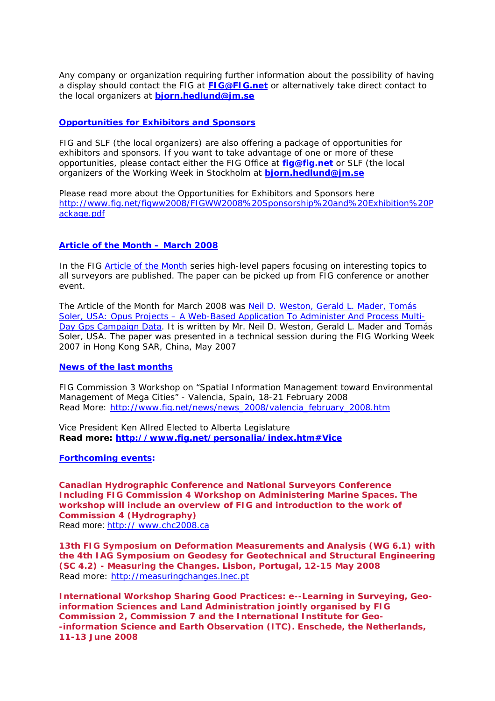Any company or organization requiring further information about the possibility of having a display should contact the FIG at **FIG@FIG.net** or alternatively take direct contact to the local organizers at **bjorn.hedlund@jm.se**

# **Opportunities for Exhibitors and Sponsors**

FIG and SLF (the local organizers) are also offering a package of opportunities for exhibitors and sponsors. If you want to take advantage of one or more of these opportunities, please contact either the FIG Office at **fig@fig.net** or SLF (the local organizers of the Working Week in Stockholm at **bjorn.hedlund@jm.se**

Please read more about the Opportunities for Exhibitors and Sponsors here http://www.fig.net/figww2008/FIGWW2008%20Sponsorship%20and%20Exhibition%20P ackage.pdf

### **Article of the Month – March 2008**

In the FIG *Article of the Month* series high-level papers focusing on interesting topics to all surveyors are published. The paper can be picked up from FIG conference or another event.

The Article of the Month for March 2008 was Neil D. Weston, Gerald L. Mader, Tomás Soler, USA: Opus Projects – A Web-Based Application To Administer And Process Multi-Day Gps Campaign Data. It is written by Mr. Neil D. Weston, Gerald L. Mader and Tomás Soler, USA. The paper was presented in a technical session during the FIG Working Week 2007 in Hong Kong SAR, China, May 2007

#### **News of the last months**

FIG Commission 3 Workshop on "Spatial Information Management toward Environmental Management of Mega Cities" - Valencia, Spain, 18-21 February 2008 Read More: http://www.fig.net/news/news\_2008/valencia\_february\_2008.htm

Vice President Ken Allred Elected to Alberta Legislature **Read more: http://www.fig.net/personalia/index.htm#Vice**

**Forthcoming events:** 

**Canadian Hydrographic Conference and National Surveyors Conference Including FIG Commission 4 Workshop on Administering Marine Spaces. The workshop will include an overview of FIG and introduction to the work of Commission 4 (Hydrography)** Read more: http:// www.chc2008.ca

**13th FIG Symposium on Deformation Measurements and Analysis (WG 6.1) with the 4th IAG Symposium on Geodesy for Geotechnical and Structural Engineering (SC 4.2) - Measuring the Changes. Lisbon, Portugal, 12-15 May 2008**  Read more: http://measuringchanges.lnec.pt

**International Workshop Sharing Good Practices: e--Learning in Surveying, Geoinformation Sciences and Land Administration jointly organised by FIG Commission 2, Commission 7 and the International Institute for Geo- -information Science and Earth Observation (ITC). Enschede, the Netherlands, 11-13 June 2008**